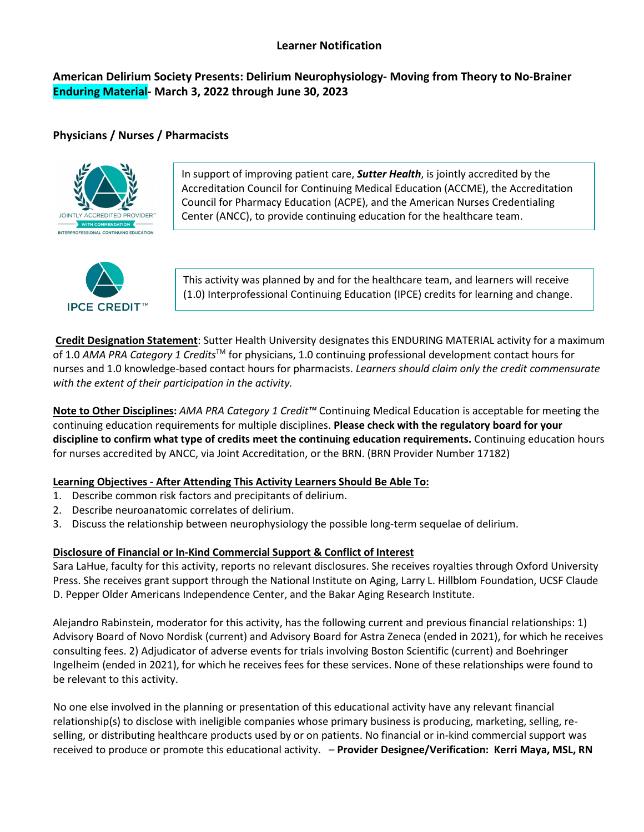## **Learner Notification**

# **American Delirium Society Presents: Delirium Neurophysiology- Moving from Theory to No-Brainer Enduring Material- March 3, 2022 through June 30, 2023**

## **Physicians / Nurses / Pharmacists**



In support of improving patient care, *Sutter Health*, is jointly accredited by the Accreditation Council for Continuing Medical Education (ACCME), the Accreditation Council for Pharmacy Education (ACPE), and the American Nurses Credentialing Center (ANCC), to provide continuing education for the healthcare team.



This activity was planned by and for the healthcare team, and learners will receive (1.0) Interprofessional Continuing Education (IPCE) credits for learning and change.

**Credit Designation Statement**: Sutter Health University designates this ENDURING MATERIAL activity for a maximum of 1.0 *AMA PRA Category 1 Credits*TM for physicians, 1.0 continuing professional development contact hours for nurses and 1.0 knowledge-based contact hours for pharmacists. *Learners should claim only the credit commensurate with the extent of their participation in the activity.*

**Note to Other Disciplines:** *AMA PRA Category 1 Credit™* Continuing Medical Education is acceptable for meeting the continuing education requirements for multiple disciplines. **Please check with the regulatory board for your discipline to confirm what type of credits meet the continuing education requirements.** Continuing education hours for nurses accredited by ANCC, via Joint Accreditation, or the BRN. (BRN Provider Number 17182)

## **Learning Objectives - After Attending This Activity Learners Should Be Able To:**

- 1. Describe common risk factors and precipitants of delirium.
- 2. Describe neuroanatomic correlates of delirium.
- 3. Discuss the relationship between neurophysiology the possible long-term sequelae of delirium.

## **Disclosure of Financial or In-Kind Commercial Support & Conflict of Interest**

Sara LaHue, faculty for this activity, reports no relevant disclosures. She receives royalties through Oxford University Press. She receives grant support through the National Institute on Aging, Larry L. Hillblom Foundation, UCSF Claude D. Pepper Older Americans Independence Center, and the Bakar Aging Research Institute.

Alejandro Rabinstein, moderator for this activity, has the following current and previous financial relationships: 1) Advisory Board of Novo Nordisk (current) and Advisory Board for Astra Zeneca (ended in 2021), for which he receives consulting fees. 2) Adjudicator of adverse events for trials involving Boston Scientific (current) and Boehringer Ingelheim (ended in 2021), for which he receives fees for these services. None of these relationships were found to be relevant to this activity.

No one else involved in the planning or presentation of this educational activity have any relevant financial relationship(s) to disclose with ineligible companies whose primary business is producing, marketing, selling, reselling, or distributing healthcare products used by or on patients. No financial or in-kind commercial support was received to produce or promote this educational activity. – **Provider Designee/Verification: Kerri Maya, MSL, RN**